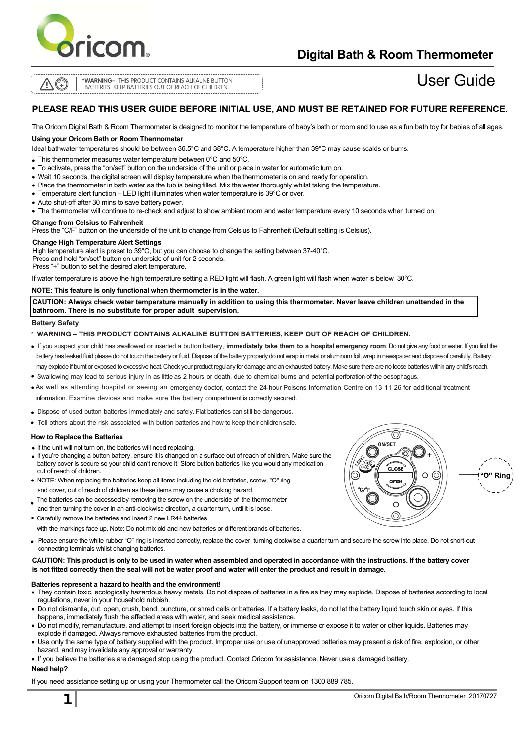

## **Digital Bath & Room Thermometer**

**LR4<sup>4</sup>**

**\* WARNING –** THIS PRODUCT CONTAINS ALKALINE BUTTON BATTERIES. KEEP BATTERIES OUT OF REACH OF CHILDREN.

# User Guide

### **PLEASE READ THIS USER GUIDE BEFORE INITIAL USE, AND MUST BE RETAINED FOR FUTURE REFERENCE.**

The Oricom Digital Bath & Room Thermometer is designed to monitor the temperature of baby's bath or room and to use as a fun bath toy for babies of all ages.

#### **Using your Oricom Bath or Room Thermometer**

Ideal bathwater temperatures should be between 36.5°C and 38°C. A temperature higher than 39°C may cause scalds or burns.

- This thermometer measures water temperature between 0°C and 50°C.
- To activate, press the "on/set" button on the underside of the unit or place in water for automatic turn on.
- Wait 10 seconds, the digital screen will display temperature when the thermometer is on and ready for operation.
- Place the thermometer in bath water as the tub is being filled. Mix the water thoroughly whilst taking the temperature.
- Temperature alert function LED light illuminates when water temperature is 39°C or over.
- Auto shut-off after 30 mins to save battery power.
- The thermometer will continue to re-check and adjust to show ambient room and water temperature every 10 seconds when turned on.

#### **Change from Celsius to Fahrenheit**

Press the "C/F" button on the underside of the unit to change from Celsius to Fahrenheit (Default setting is Celsius).

#### **Change High Temperature Alert Settings**

High temperature alert is preset to 39°C, but you can choose to change the setting between 37-40°C. Press and hold "on/set" button on underside of unit for 2 seconds. Press "+" button to set the desired alert temperature.

If water temperature is above the high temperature setting a RED light will flash. A green light will flash when water is below 30°C.

#### **NOTE: This feature is only functional when thermometer is in the water.**

**CAUTION: Always check water temperature manually in addition to using this thermometer. Never leave children unattended in the bathroom. There is no substitute for proper adult supervision.**

#### **Battery Safety**

\* **WARNING – THIS PRODUCT CONTAINS ALKALINE BUTTON BATTERIES, KEEP OUT OF REACH OF CHILDREN.**

- If you suspect your child has swallowed or inserted a button battery, **immediately take them to a hospital emergency room**. Do not give any food or water. If you find the battery has leaked fluid please do not touch the battery or fluid. Dispose of the battery properly do not wrap in metal or aluminum foil, wrap in newspaper and dispose of carefully. Battery may explode if burnt or exposed to excessive heat. Check your product regularly for damage and an exhausted battery. Make sure there are no loose batteries within any child's reach.
- Swallowing may lead to serious injury in as little as 2 hours or death, due to chemical burns and potential perforation of the oesophagus.
- As well as attending hospital or seeing an emergency doctor, contact the 24-hour Poisons Information Centre on 13 11 26 for additional treatment information. Examine devices and make sure the battery compartment is correctly secured.
- Dispose of used button batteries immediately and safely. Flat batteries can still be dangerous.
- Tell others about the risk associated with button batteries and how to keep their children safe.

#### **How to Replace the Batteries**

- If the unit will not turn on, the batteries will need replacing.
- If you're changing a button battery, ensure it is changed on a surface out of reach of children. Make sure the battery cover is secure so your child can't remove it. Store button batteries like you would any medication – out of reach of children.
- NOTE: When replacing the batteries keep all items including the old batteries, screw, "O" ring and cover, out of reach of children as these items may cause a choking hazard.
- The batteries can be accessed by removing the screw on the underside of the thermometer
- and then turning the cover in an anti-clockwise direction, a quarter turn, until it is loose.
- Carefully remove the batteries and insert 2 new LR44 batteries

with the markings face up. Note: Do not mix old and new batteries or different brands of batteries.

• Please ensure the white rubber "O" ring is inserted correctly, replace the cover turning clockwise a quarter turn and secure the screw into place. Do not short-out connecting terminals whilst changing batteries.

#### **CAUTION: This product is only to be used in water when assembled and operated in accordance with the instructions. If the battery cover is not fitted correctly then the seal will not be water proof and water will enter the product and result in damage.**

#### **Batteries represent a hazard to health and the environment!**

- They contain toxic, ecologically hazardous heavy metals. Do not dispose of batteries in a fire as they may explode. Dispose of batteries according to local regulations, never in your household rubbish.
- Do not dismantle, cut, open, crush, bend, puncture, or shred cells or batteries. If a battery leaks, do not let the battery liquid touch skin or eyes. If this happens, immediately flush the affected areas with water, and seek medical assistance.
- Do not modify, remanufacture, and attempt to insert foreign objects into the battery, or immerse or expose it to water or other liquids. Batteries may explode if damaged. Always remove exhausted batteries from the product.
- Use only the same type of battery supplied with the product. Improper use or use of unapproved batteries may present a risk of fire, explosion, or other hazard, and may invalidate any approval or warranty.
- If you believe the batteries are damaged stop using the product. Contact Oricom for assistance. Never use a damaged battery. **Need help?**

If you need assistance setting up or using your Thermometer call the Oricom Support team on 1300 889 785.